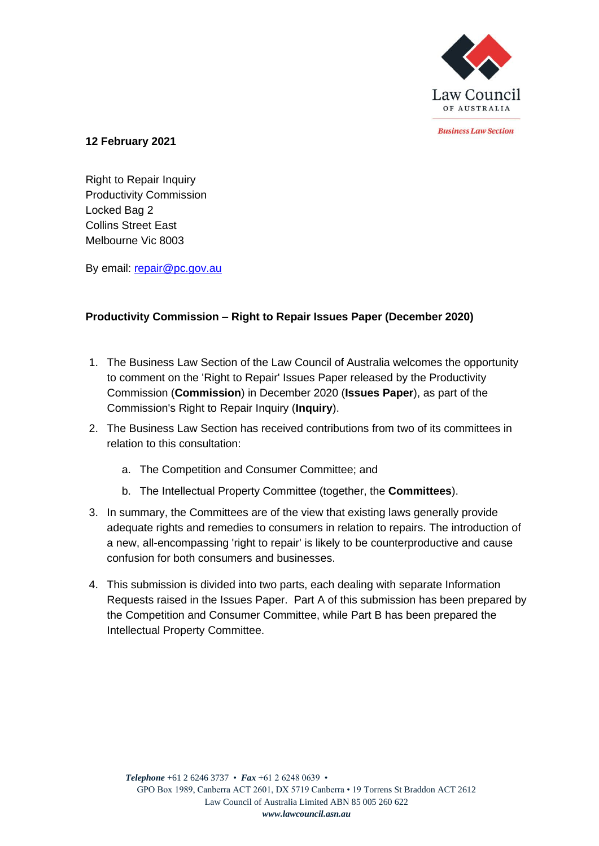

*<u>Rusiness Law Section</u>* 

## **12 February 2021**

Right to Repair Inquiry Productivity Commission Locked Bag 2 Collins Street East Melbourne Vic 8003

By email: [repair@pc.gov.au](mailto:repair@pc.gov.au)

# **Productivity Commission – Right to Repair Issues Paper (December 2020)**

- 1. The Business Law Section of the Law Council of Australia welcomes the opportunity to comment on the 'Right to Repair' Issues Paper released by the Productivity Commission (**Commission**) in December 2020 (**Issues Paper**), as part of the Commission's Right to Repair Inquiry (**Inquiry**).
- 2. The Business Law Section has received contributions from two of its committees in relation to this consultation:
	- a. The Competition and Consumer Committee; and
	- b. The Intellectual Property Committee (together, the **Committees**).
- 3. In summary, the Committees are of the view that existing laws generally provide adequate rights and remedies to consumers in relation to repairs. The introduction of a new, all-encompassing 'right to repair' is likely to be counterproductive and cause confusion for both consumers and businesses.
- 4. This submission is divided into two parts, each dealing with separate Information Requests raised in the Issues Paper. Part A of this submission has been prepared by the Competition and Consumer Committee, while Part B has been prepared the Intellectual Property Committee.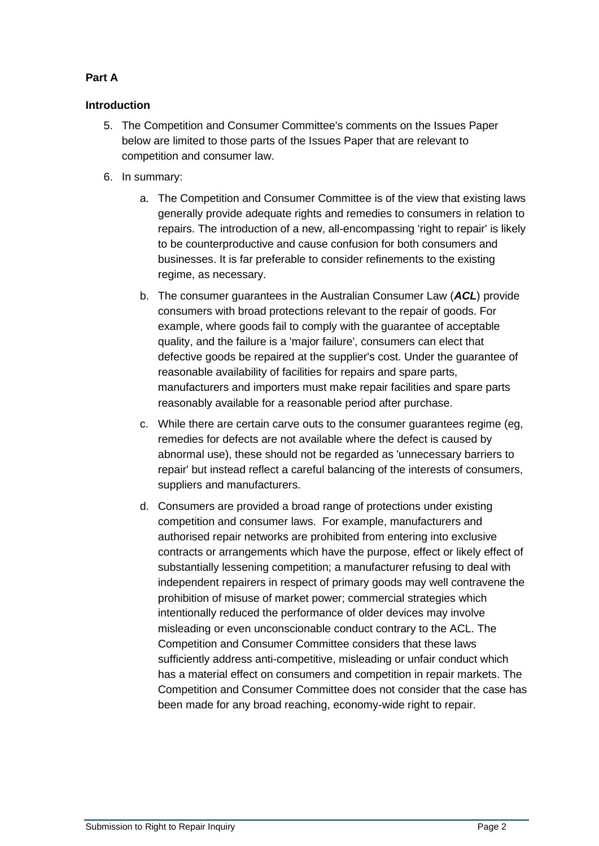# **Part A**

# **Introduction**

- 5. The Competition and Consumer Committee's comments on the Issues Paper below are limited to those parts of the Issues Paper that are relevant to competition and consumer law.
- 6. In summary:
	- a. The Competition and Consumer Committee is of the view that existing laws generally provide adequate rights and remedies to consumers in relation to repairs. The introduction of a new, all-encompassing 'right to repair' is likely to be counterproductive and cause confusion for both consumers and businesses. It is far preferable to consider refinements to the existing regime, as necessary.
	- b. The consumer guarantees in the Australian Consumer Law (*ACL*) provide consumers with broad protections relevant to the repair of goods. For example, where goods fail to comply with the guarantee of acceptable quality, and the failure is a 'major failure', consumers can elect that defective goods be repaired at the supplier's cost. Under the guarantee of reasonable availability of facilities for repairs and spare parts, manufacturers and importers must make repair facilities and spare parts reasonably available for a reasonable period after purchase.
	- c. While there are certain carve outs to the consumer guarantees regime (eg, remedies for defects are not available where the defect is caused by abnormal use), these should not be regarded as 'unnecessary barriers to repair' but instead reflect a careful balancing of the interests of consumers, suppliers and manufacturers.
	- d. Consumers are provided a broad range of protections under existing competition and consumer laws. For example, manufacturers and authorised repair networks are prohibited from entering into exclusive contracts or arrangements which have the purpose, effect or likely effect of substantially lessening competition; a manufacturer refusing to deal with independent repairers in respect of primary goods may well contravene the prohibition of misuse of market power; commercial strategies which intentionally reduced the performance of older devices may involve misleading or even unconscionable conduct contrary to the ACL. The Competition and Consumer Committee considers that these laws sufficiently address anti-competitive, misleading or unfair conduct which has a material effect on consumers and competition in repair markets. The Competition and Consumer Committee does not consider that the case has been made for any broad reaching, economy-wide right to repair.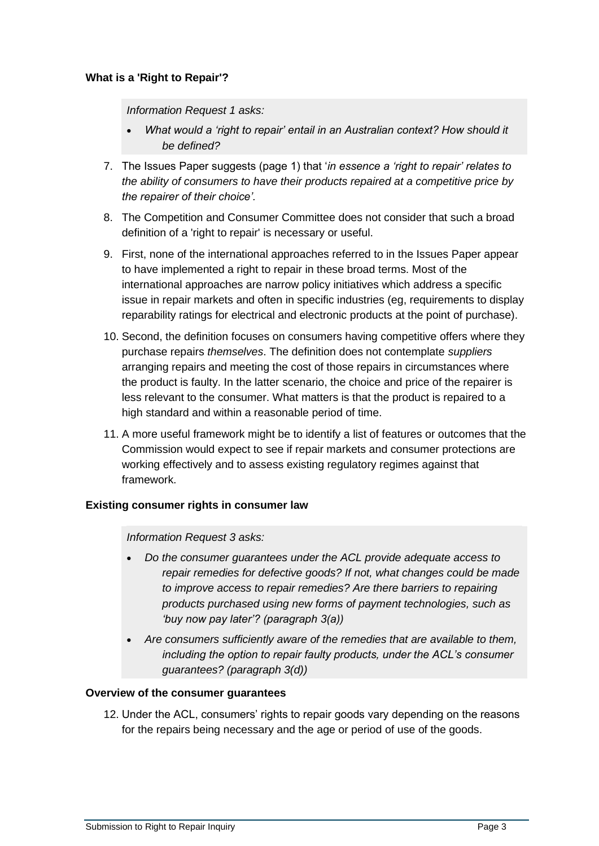## **What is a 'Right to Repair'?**

*Information Request 1 asks:* 

- *What would a 'right to repair' entail in an Australian context? How should it be defined?*
- 7. The Issues Paper suggests (page 1) that '*in essence a 'right to repair' relates to the ability of consumers to have their products repaired at a competitive price by the repairer of their choice'.*
- 8. The Competition and Consumer Committee does not consider that such a broad definition of a 'right to repair' is necessary or useful.
- 9. First, none of the international approaches referred to in the Issues Paper appear to have implemented a right to repair in these broad terms. Most of the international approaches are narrow policy initiatives which address a specific issue in repair markets and often in specific industries (eg, requirements to display reparability ratings for electrical and electronic products at the point of purchase).
- 10. Second, the definition focuses on consumers having competitive offers where they purchase repairs *themselves*. The definition does not contemplate *suppliers*  arranging repairs and meeting the cost of those repairs in circumstances where the product is faulty. In the latter scenario, the choice and price of the repairer is less relevant to the consumer. What matters is that the product is repaired to a high standard and within a reasonable period of time.
- 11. A more useful framework might be to identify a list of features or outcomes that the Commission would expect to see if repair markets and consumer protections are working effectively and to assess existing regulatory regimes against that framework.

### **Existing consumer rights in consumer law**

### *Information Request 3 asks:*

- *Do the consumer guarantees under the ACL provide adequate access to repair remedies for defective goods? If not, what changes could be made to improve access to repair remedies? Are there barriers to repairing products purchased using new forms of payment technologies, such as 'buy now pay later'? (paragraph 3(a))*
- *Are consumers sufficiently aware of the remedies that are available to them, including the option to repair faulty products, under the ACL's consumer guarantees? (paragraph 3(d))*

### **Overview of the consumer guarantees**

12. Under the ACL, consumers' rights to repair goods vary depending on the reasons for the repairs being necessary and the age or period of use of the goods.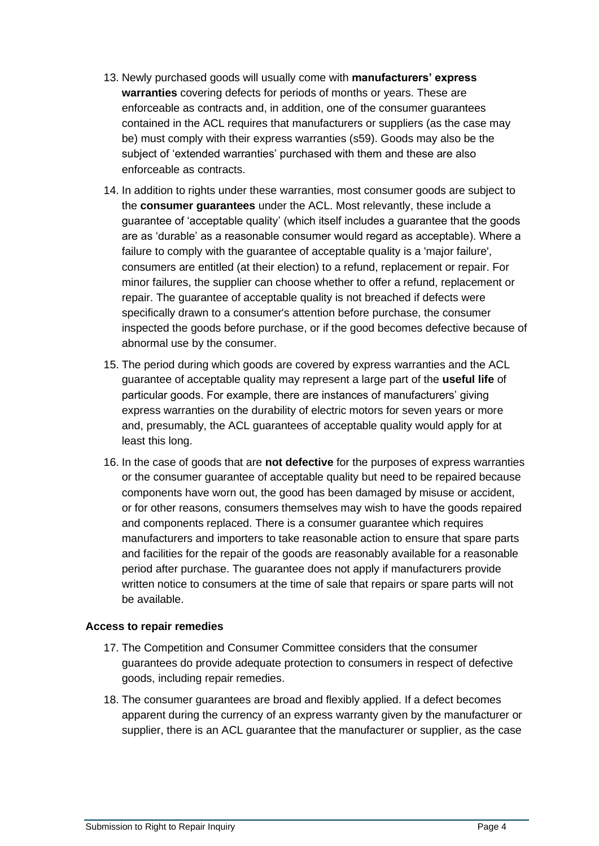- 13. Newly purchased goods will usually come with **manufacturers' express warranties** covering defects for periods of months or years. These are enforceable as contracts and, in addition, one of the consumer guarantees contained in the ACL requires that manufacturers or suppliers (as the case may be) must comply with their express warranties (s59). Goods may also be the subject of 'extended warranties' purchased with them and these are also enforceable as contracts.
- 14. In addition to rights under these warranties, most consumer goods are subject to the **consumer guarantees** under the ACL. Most relevantly, these include a guarantee of 'acceptable quality' (which itself includes a guarantee that the goods are as 'durable' as a reasonable consumer would regard as acceptable). Where a failure to comply with the guarantee of acceptable quality is a 'major failure', consumers are entitled (at their election) to a refund, replacement or repair. For minor failures, the supplier can choose whether to offer a refund, replacement or repair. The guarantee of acceptable quality is not breached if defects were specifically drawn to a consumer's attention before purchase, the consumer inspected the goods before purchase, or if the good becomes defective because of abnormal use by the consumer.
- 15. The period during which goods are covered by express warranties and the ACL guarantee of acceptable quality may represent a large part of the **useful life** of particular goods. For example, there are instances of manufacturers' giving express warranties on the durability of electric motors for seven years or more and, presumably, the ACL guarantees of acceptable quality would apply for at least this long.
- 16. In the case of goods that are **not defective** for the purposes of express warranties or the consumer guarantee of acceptable quality but need to be repaired because components have worn out, the good has been damaged by misuse or accident, or for other reasons, consumers themselves may wish to have the goods repaired and components replaced. There is a consumer guarantee which requires manufacturers and importers to take reasonable action to ensure that spare parts and facilities for the repair of the goods are reasonably available for a reasonable period after purchase. The guarantee does not apply if manufacturers provide written notice to consumers at the time of sale that repairs or spare parts will not be available.

### **Access to repair remedies**

- 17. The Competition and Consumer Committee considers that the consumer guarantees do provide adequate protection to consumers in respect of defective goods, including repair remedies.
- 18. The consumer guarantees are broad and flexibly applied. If a defect becomes apparent during the currency of an express warranty given by the manufacturer or supplier, there is an ACL guarantee that the manufacturer or supplier, as the case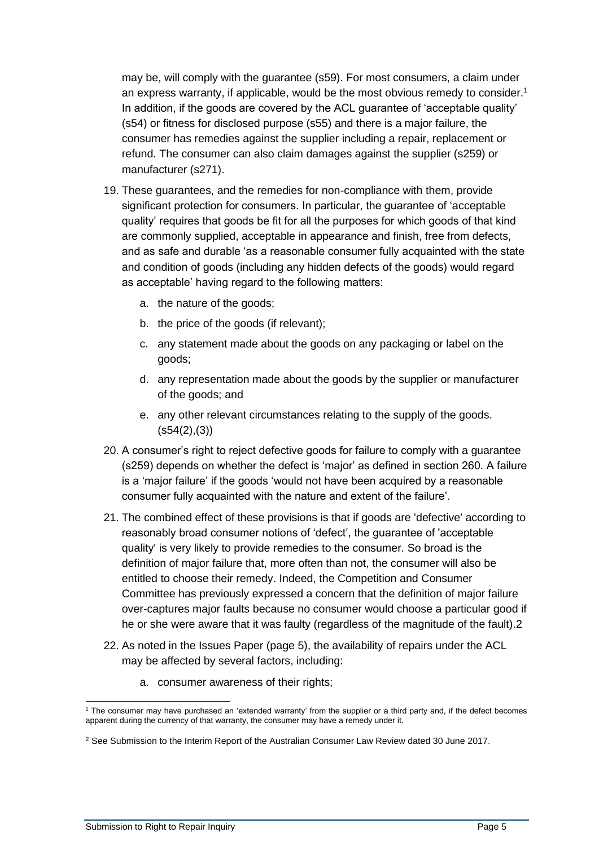may be, will comply with the guarantee (s59). For most consumers, a claim under an express warranty, if applicable, would be the most obvious remedy to consider.<sup>1</sup> In addition, if the goods are covered by the ACL guarantee of 'acceptable quality' (s54) or fitness for disclosed purpose (s55) and there is a major failure, the consumer has remedies against the supplier including a repair, replacement or refund. The consumer can also claim damages against the supplier (s259) or manufacturer (s271).

- 19. These guarantees, and the remedies for non-compliance with them, provide significant protection for consumers. In particular, the guarantee of 'acceptable quality' requires that goods be fit for all the purposes for which goods of that kind are commonly supplied, acceptable in appearance and finish, free from defects, and as safe and durable 'as a reasonable consumer fully acquainted with the state and condition of goods (including any hidden defects of the goods) would regard as acceptable' having regard to the following matters:
	- a. the nature of the goods;
	- b. the price of the goods (if relevant);
	- c. any statement made about the goods on any packaging or label on the goods;
	- d. any representation made about the goods by the supplier or manufacturer of the goods; and
	- e. any other relevant circumstances relating to the supply of the goods.  $($ s54 $(2)$ , $(3)$  $)$
- 20. A consumer's right to reject defective goods for failure to comply with a guarantee (s259) depends on whether the defect is 'major' as defined in section 260. A failure is a 'major failure' if the goods 'would not have been acquired by a reasonable consumer fully acquainted with the nature and extent of the failure'.
- 21. The combined effect of these provisions is that if goods are 'defective' according to reasonably broad consumer notions of 'defect', the guarantee of 'acceptable quality' is very likely to provide remedies to the consumer. So broad is the definition of major failure that, more often than not, the consumer will also be entitled to choose their remedy. Indeed, the Competition and Consumer Committee has previously expressed a concern that the definition of major failure over-captures major faults because no consumer would choose a particular good if he or she were aware that it was faulty (regardless of the magnitude of the fault).2
- 22. As noted in the Issues Paper (page 5), the availability of repairs under the ACL may be affected by several factors, including:
	- a. consumer awareness of their rights;

<sup>1</sup> The consumer may have purchased an 'extended warranty' from the supplier or a third party and, if the defect becomes apparent during the currency of that warranty, the consumer may have a remedy under it.

<sup>&</sup>lt;sup>2</sup> See Submission to the Interim Report of the Australian Consumer Law Review dated 30 June 2017.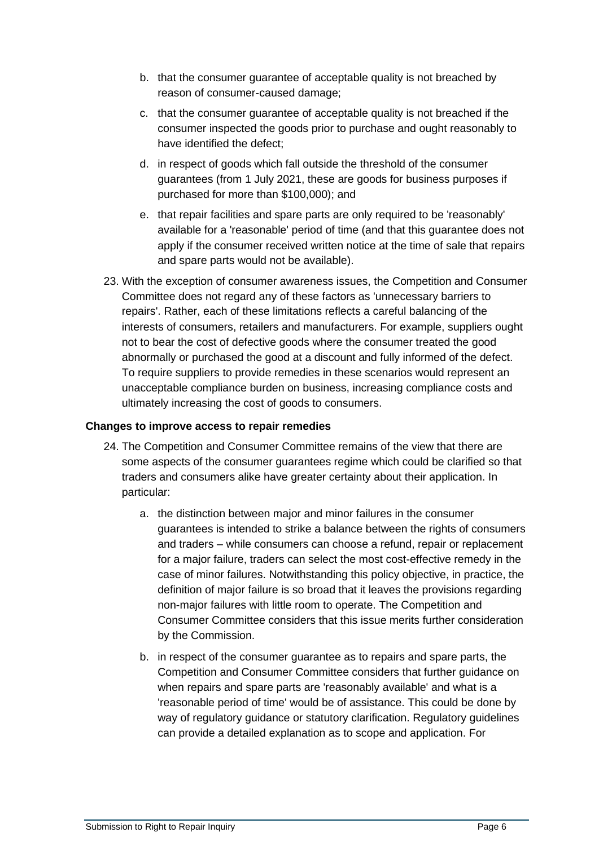- b. that the consumer guarantee of acceptable quality is not breached by reason of consumer-caused damage;
- c. that the consumer guarantee of acceptable quality is not breached if the consumer inspected the goods prior to purchase and ought reasonably to have identified the defect;
- d. in respect of goods which fall outside the threshold of the consumer guarantees (from 1 July 2021, these are goods for business purposes if purchased for more than \$100,000); and
- e. that repair facilities and spare parts are only required to be 'reasonably' available for a 'reasonable' period of time (and that this guarantee does not apply if the consumer received written notice at the time of sale that repairs and spare parts would not be available).
- 23. With the exception of consumer awareness issues, the Competition and Consumer Committee does not regard any of these factors as 'unnecessary barriers to repairs'. Rather, each of these limitations reflects a careful balancing of the interests of consumers, retailers and manufacturers. For example, suppliers ought not to bear the cost of defective goods where the consumer treated the good abnormally or purchased the good at a discount and fully informed of the defect. To require suppliers to provide remedies in these scenarios would represent an unacceptable compliance burden on business, increasing compliance costs and ultimately increasing the cost of goods to consumers.

## **Changes to improve access to repair remedies**

- 24. The Competition and Consumer Committee remains of the view that there are some aspects of the consumer guarantees regime which could be clarified so that traders and consumers alike have greater certainty about their application. In particular:
	- a. the distinction between major and minor failures in the consumer guarantees is intended to strike a balance between the rights of consumers and traders – while consumers can choose a refund, repair or replacement for a major failure, traders can select the most cost-effective remedy in the case of minor failures. Notwithstanding this policy objective, in practice, the definition of major failure is so broad that it leaves the provisions regarding non-major failures with little room to operate. The Competition and Consumer Committee considers that this issue merits further consideration by the Commission.
	- b. in respect of the consumer guarantee as to repairs and spare parts, the Competition and Consumer Committee considers that further guidance on when repairs and spare parts are 'reasonably available' and what is a 'reasonable period of time' would be of assistance. This could be done by way of regulatory guidance or statutory clarification. Regulatory guidelines can provide a detailed explanation as to scope and application. For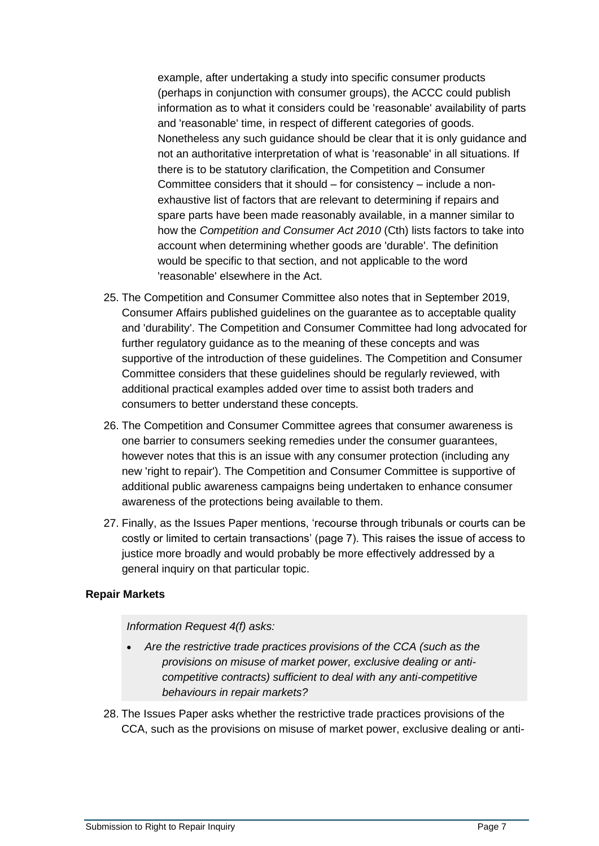example, after undertaking a study into specific consumer products (perhaps in conjunction with consumer groups), the ACCC could publish information as to what it considers could be 'reasonable' availability of parts and 'reasonable' time, in respect of different categories of goods. Nonetheless any such guidance should be clear that it is only guidance and not an authoritative interpretation of what is 'reasonable' in all situations. If there is to be statutory clarification, the Competition and Consumer Committee considers that it should – for consistency – include a nonexhaustive list of factors that are relevant to determining if repairs and spare parts have been made reasonably available, in a manner similar to how the *Competition and Consumer Act 2010* (Cth) lists factors to take into account when determining whether goods are 'durable'. The definition would be specific to that section, and not applicable to the word 'reasonable' elsewhere in the Act.

- 25. The Competition and Consumer Committee also notes that in September 2019, Consumer Affairs published guidelines on the guarantee as to acceptable quality and 'durability'. The Competition and Consumer Committee had long advocated for further regulatory guidance as to the meaning of these concepts and was supportive of the introduction of these guidelines. The Competition and Consumer Committee considers that these guidelines should be regularly reviewed, with additional practical examples added over time to assist both traders and consumers to better understand these concepts.
- 26. The Competition and Consumer Committee agrees that consumer awareness is one barrier to consumers seeking remedies under the consumer guarantees, however notes that this is an issue with any consumer protection (including any new 'right to repair'). The Competition and Consumer Committee is supportive of additional public awareness campaigns being undertaken to enhance consumer awareness of the protections being available to them.
- 27. Finally, as the Issues Paper mentions, 'recourse through tribunals or courts can be costly or limited to certain transactions' (page 7). This raises the issue of access to justice more broadly and would probably be more effectively addressed by a general inquiry on that particular topic.

### **Repair Markets**

### *Information Request 4(f) asks:*

- *Are the restrictive trade practices provisions of the CCA (such as the provisions on misuse of market power, exclusive dealing or anticompetitive contracts) sufficient to deal with any anti-competitive behaviours in repair markets?*
- 28. The Issues Paper asks whether the restrictive trade practices provisions of the CCA, such as the provisions on misuse of market power, exclusive dealing or anti-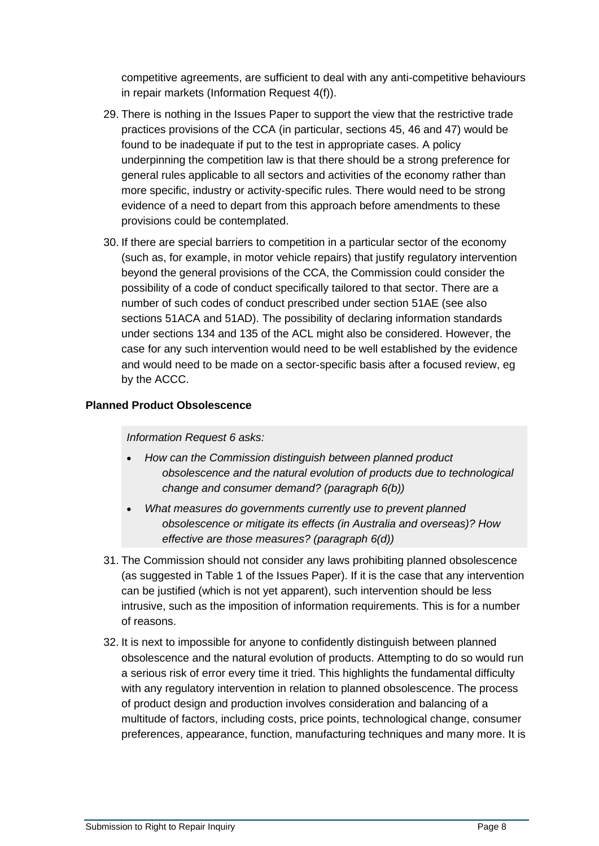competitive agreements, are sufficient to deal with any anti-competitive behaviours in repair markets (Information Request 4(f)).

- 29. There is nothing in the Issues Paper to support the view that the restrictive trade practices provisions of the CCA (in particular, sections 45, 46 and 47) would be found to be inadequate if put to the test in appropriate cases. A policy underpinning the competition law is that there should be a strong preference for general rules applicable to all sectors and activities of the economy rather than more specific, industry or activity-specific rules. There would need to be strong evidence of a need to depart from this approach before amendments to these provisions could be contemplated.
- 30. If there are special barriers to competition in a particular sector of the economy (such as, for example, in motor vehicle repairs) that justify regulatory intervention beyond the general provisions of the CCA, the Commission could consider the possibility of a code of conduct specifically tailored to that sector. There are a number of such codes of conduct prescribed under section 51AE (see also sections 51ACA and 51AD). The possibility of declaring information standards under sections 134 and 135 of the ACL might also be considered. However, the case for any such intervention would need to be well established by the evidence and would need to be made on a sector-specific basis after a focused review, eg by the ACCC.

## **Planned Product Obsolescence**

### *Information Request 6 asks:*

- *How can the Commission distinguish between planned product obsolescence and the natural evolution of products due to technological change and consumer demand? (paragraph 6(b))*
- *What measures do governments currently use to prevent planned obsolescence or mitigate its effects (in Australia and overseas)? How effective are those measures? (paragraph 6(d))*
- 31. The Commission should not consider any laws prohibiting planned obsolescence (as suggested in Table 1 of the Issues Paper). If it is the case that any intervention can be justified (which is not yet apparent), such intervention should be less intrusive, such as the imposition of information requirements. This is for a number of reasons.
- 32. It is next to impossible for anyone to confidently distinguish between planned obsolescence and the natural evolution of products. Attempting to do so would run a serious risk of error every time it tried. This highlights the fundamental difficulty with any regulatory intervention in relation to planned obsolescence. The process of product design and production involves consideration and balancing of a multitude of factors, including costs, price points, technological change, consumer preferences, appearance, function, manufacturing techniques and many more. It is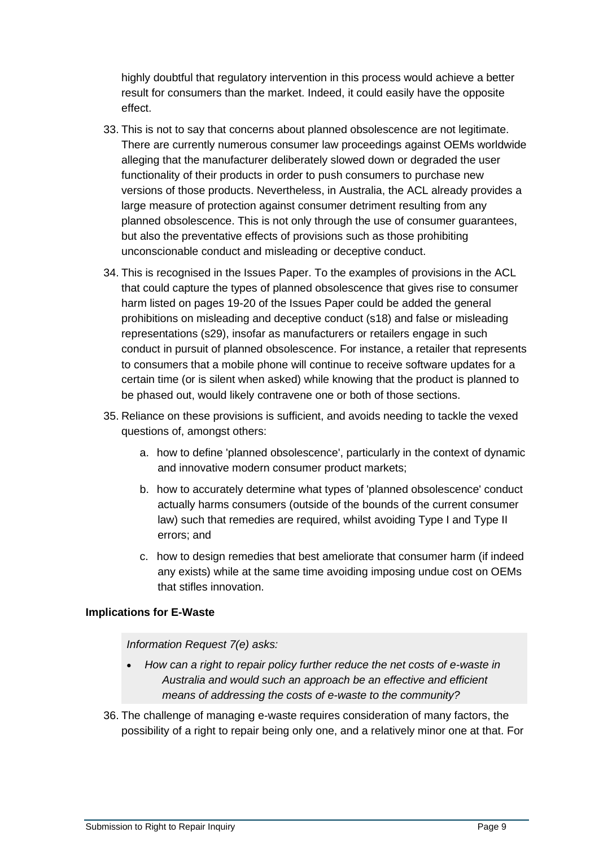highly doubtful that regulatory intervention in this process would achieve a better result for consumers than the market. Indeed, it could easily have the opposite effect.

- 33. This is not to say that concerns about planned obsolescence are not legitimate. There are currently numerous consumer law proceedings against OEMs worldwide alleging that the manufacturer deliberately slowed down or degraded the user functionality of their products in order to push consumers to purchase new versions of those products. Nevertheless, in Australia, the ACL already provides a large measure of protection against consumer detriment resulting from any planned obsolescence. This is not only through the use of consumer guarantees, but also the preventative effects of provisions such as those prohibiting unconscionable conduct and misleading or deceptive conduct.
- 34. This is recognised in the Issues Paper. To the examples of provisions in the ACL that could capture the types of planned obsolescence that gives rise to consumer harm listed on pages 19-20 of the Issues Paper could be added the general prohibitions on misleading and deceptive conduct (s18) and false or misleading representations (s29), insofar as manufacturers or retailers engage in such conduct in pursuit of planned obsolescence. For instance, a retailer that represents to consumers that a mobile phone will continue to receive software updates for a certain time (or is silent when asked) while knowing that the product is planned to be phased out, would likely contravene one or both of those sections.
- 35. Reliance on these provisions is sufficient, and avoids needing to tackle the vexed questions of, amongst others:
	- a. how to define 'planned obsolescence', particularly in the context of dynamic and innovative modern consumer product markets;
	- b. how to accurately determine what types of 'planned obsolescence' conduct actually harms consumers (outside of the bounds of the current consumer law) such that remedies are required, whilst avoiding Type I and Type II errors; and
	- c. how to design remedies that best ameliorate that consumer harm (if indeed any exists) while at the same time avoiding imposing undue cost on OEMs that stifles innovation.

### **Implications for E-Waste**

### *Information Request 7(e) asks:*

- *How can a right to repair policy further reduce the net costs of e-waste in Australia and would such an approach be an effective and efficient means of addressing the costs of e-waste to the community?*
- 36. The challenge of managing e-waste requires consideration of many factors, the possibility of a right to repair being only one, and a relatively minor one at that. For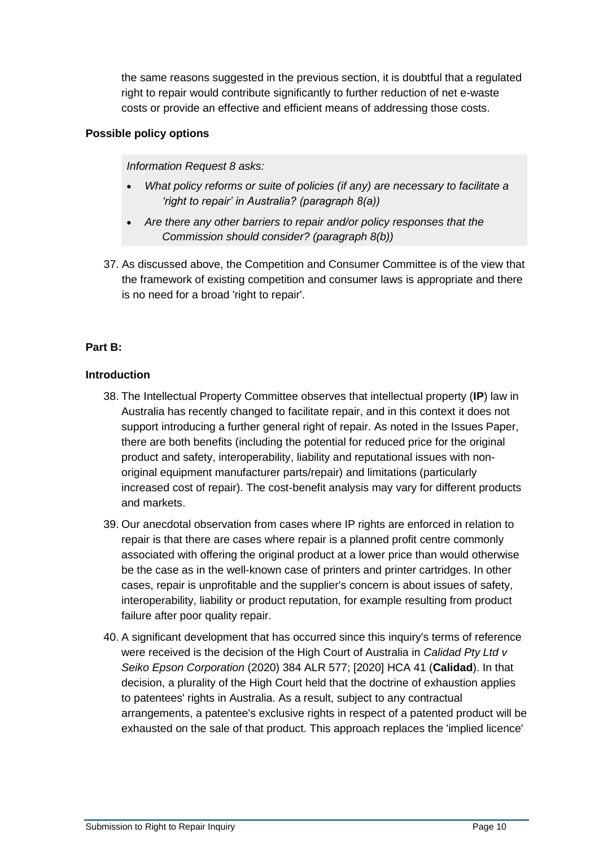the same reasons suggested in the previous section, it is doubtful that a regulated right to repair would contribute significantly to further reduction of net e-waste costs or provide an effective and efficient means of addressing those costs.

## **Possible policy options**

### *Information Request 8 asks:*

- *What policy reforms or suite of policies (if any) are necessary to facilitate a 'right to repair' in Australia? (paragraph 8(a))*
- *Are there any other barriers to repair and/or policy responses that the Commission should consider? (paragraph 8(b))*
- 37. As discussed above, the Competition and Consumer Committee is of the view that the framework of existing competition and consumer laws is appropriate and there is no need for a broad 'right to repair'.

# **Part B:**

## **Introduction**

- 38. The Intellectual Property Committee observes that intellectual property (**IP**) law in Australia has recently changed to facilitate repair, and in this context it does not support introducing a further general right of repair. As noted in the Issues Paper, there are both benefits (including the potential for reduced price for the original product and safety, interoperability, liability and reputational issues with nonoriginal equipment manufacturer parts/repair) and limitations (particularly increased cost of repair). The cost-benefit analysis may vary for different products and markets.
- 39. Our anecdotal observation from cases where IP rights are enforced in relation to repair is that there are cases where repair is a planned profit centre commonly associated with offering the original product at a lower price than would otherwise be the case as in the well-known case of printers and printer cartridges. In other cases, repair is unprofitable and the supplier's concern is about issues of safety, interoperability, liability or product reputation, for example resulting from product failure after poor quality repair.
- 40. A significant development that has occurred since this inquiry's terms of reference were received is the decision of the High Court of Australia in *Calidad Pty Ltd v Seiko Epson Corporation* (2020) 384 ALR 577; [2020] HCA 41 (**Calidad**). In that decision, a plurality of the High Court held that the doctrine of exhaustion applies to patentees' rights in Australia. As a result, subject to any contractual arrangements, a patentee's exclusive rights in respect of a patented product will be exhausted on the sale of that product. This approach replaces the 'implied licence'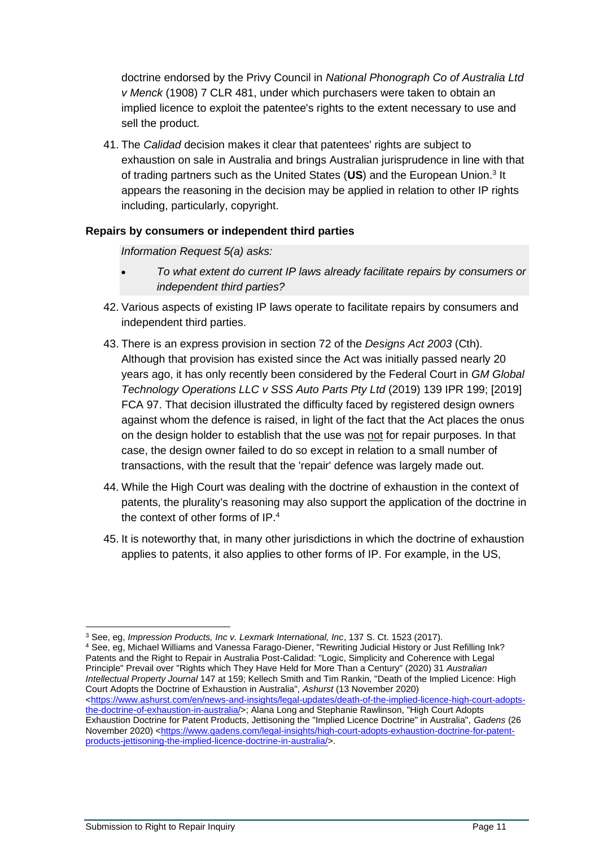doctrine endorsed by the Privy Council in *National Phonograph Co of Australia Ltd v Menck* (1908) 7 CLR 481, under which purchasers were taken to obtain an implied licence to exploit the patentee's rights to the extent necessary to use and sell the product.

41. The *Calidad* decision makes it clear that patentees' rights are subject to exhaustion on sale in Australia and brings Australian jurisprudence in line with that of trading partners such as the United States (US) and the European Union.<sup>3</sup> It appears the reasoning in the decision may be applied in relation to other IP rights including, particularly, copyright.

# **Repairs by consumers or independent third parties**

*Information Request 5(a) asks:*

- *To what extent do current IP laws already facilitate repairs by consumers or independent third parties?*
- 42. Various aspects of existing IP laws operate to facilitate repairs by consumers and independent third parties.
- 43. There is an express provision in section 72 of the *Designs Act 2003* (Cth). Although that provision has existed since the Act was initially passed nearly 20 years ago, it has only recently been considered by the Federal Court in *GM Global Technology Operations LLC v SSS Auto Parts Pty Ltd* (2019) 139 IPR 199; [2019] FCA 97. That decision illustrated the difficulty faced by registered design owners against whom the defence is raised, in light of the fact that the Act places the onus on the design holder to establish that the use was not for repair purposes. In that case, the design owner failed to do so except in relation to a small number of transactions, with the result that the 'repair' defence was largely made out.
- 44. While the High Court was dealing with the doctrine of exhaustion in the context of patents, the plurality's reasoning may also support the application of the doctrine in the context of other forms of IP.<sup>4</sup>
- 45. It is noteworthy that, in many other jurisdictions in which the doctrine of exhaustion applies to patents, it also applies to other forms of IP. For example, in the US,

<sup>4</sup> See, eg, Michael Williams and Vanessa Farago-Diener, "Rewriting Judicial History or Just Refilling Ink? Patents and the Right to Repair in Australia Post-Calidad: "Logic, Simplicity and Coherence with Legal Principle" Prevail over "Rights which They Have Held for More Than a Century" (2020) 31 *Australian Intellectual Property Journal* 147 at 159; Kellech Smith and Tim Rankin, "Death of the Implied Licence: High Court Adopts the Doctrine of Exhaustion in Australia", *Ashurst* (13 November 2020) [<https://www.ashurst.com/en/news-and-insights/legal-updates/death-of-the-implied-licence-high-court-adopts](https://www.ashurst.com/en/news-and-insights/legal-updates/death-of-the-implied-licence-high-court-adopts-the-doctrine-of-exhaustion-in-australia/)[the-doctrine-of-exhaustion-in-australia/>](https://www.ashurst.com/en/news-and-insights/legal-updates/death-of-the-implied-licence-high-court-adopts-the-doctrine-of-exhaustion-in-australia/); Alana Long and Stephanie Rawlinson, "High Court Adopts Exhaustion Doctrine for Patent Products, Jettisoning the "Implied Licence Doctrine" in Australia", *Gadens* (26 November 2020) [<https://www.gadens.com/legal-insights/high-court-adopts-exhaustion-doctrine-for-patent](https://www.gadens.com/legal-insights/high-court-adopts-exhaustion-doctrine-for-patent-products-jettisoning-the-implied-licence-doctrine-in-australia/)[products-jettisoning-the-implied-licence-doctrine-in-australia/>](https://www.gadens.com/legal-insights/high-court-adopts-exhaustion-doctrine-for-patent-products-jettisoning-the-implied-licence-doctrine-in-australia/).

<sup>3</sup> See, eg, *Impression Products, Inc v. Lexmark International, Inc*, 137 S. Ct. 1523 (2017).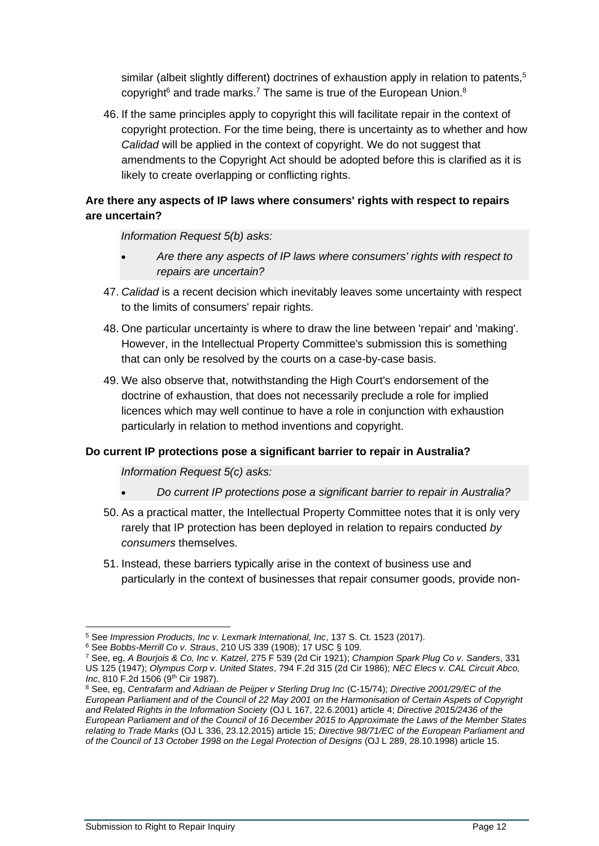similar (albeit slightly different) doctrines of exhaustion apply in relation to patents,<sup>5</sup> copyright<sup>6</sup> and trade marks.<sup>7</sup> The same is true of the European Union.<sup>8</sup>

46. If the same principles apply to copyright this will facilitate repair in the context of copyright protection. For the time being, there is uncertainty as to whether and how *Calidad* will be applied in the context of copyright. We do not suggest that amendments to the Copyright Act should be adopted before this is clarified as it is likely to create overlapping or conflicting rights.

# **Are there any aspects of IP laws where consumers' rights with respect to repairs are uncertain?**

*Information Request 5(b) asks:*

- *Are there any aspects of IP laws where consumers' rights with respect to repairs are uncertain?*
- 47. *Calidad* is a recent decision which inevitably leaves some uncertainty with respect to the limits of consumers' repair rights.
- 48. One particular uncertainty is where to draw the line between 'repair' and 'making'. However, in the Intellectual Property Committee's submission this is something that can only be resolved by the courts on a case-by-case basis.
- 49. We also observe that, notwithstanding the High Court's endorsement of the doctrine of exhaustion, that does not necessarily preclude a role for implied licences which may well continue to have a role in conjunction with exhaustion particularly in relation to method inventions and copyright.

# **Do current IP protections pose a significant barrier to repair in Australia?**

*Information Request 5(c) asks:*

- *Do current IP protections pose a significant barrier to repair in Australia?*
- 50. As a practical matter, the Intellectual Property Committee notes that it is only very rarely that IP protection has been deployed in relation to repairs conducted *by consumers* themselves.
- 51. Instead, these barriers typically arise in the context of business use and particularly in the context of businesses that repair consumer goods, provide non-

<sup>5</sup> See *Impression Products, Inc v. Lexmark International, Inc*, 137 S. Ct. 1523 (2017).

<sup>6</sup> See *Bobbs-Merrill Co v. Straus*, 210 US 339 (1908); 17 USC § 109.

<sup>7</sup> See, eg, *A Bourjois & Co, Inc v. Katzel*, 275 F 539 (2d Cir 1921); *Champion Spark Plug Co v. Sanders*, 331 US 125 (1947); *Olympus Corp v. United States*, 794 F.2d 315 (2d Cir 1986); *NEC Elecs v. CAL Circuit Abco, Inc*, 810 F.2d 1506 (9th Cir 1987).

<sup>8</sup> See, eg, *Centrafarm and Adriaan de Peijper v Sterling Drug Inc* (C-15/74); *Directive 2001/29/EC of the European Parliament and of the Council of 22 May 2001 on the Harmonisation of Certain Aspets of Copyright and Related Rights in the Information Society* (OJ L 167, 22.6.2001) article 4; *Directive 2015/2436 of the European Parliament and of the Council of 16 December 2015 to Approximate the Laws of the Member States relating to Trade Marks* (OJ L 336, 23.12.2015) article 15; *Directive 98/71/EC of the European Parliament and of the Council of 13 October 1998 on the Legal Protection of Designs* (OJ L 289, 28.10.1998) article 15.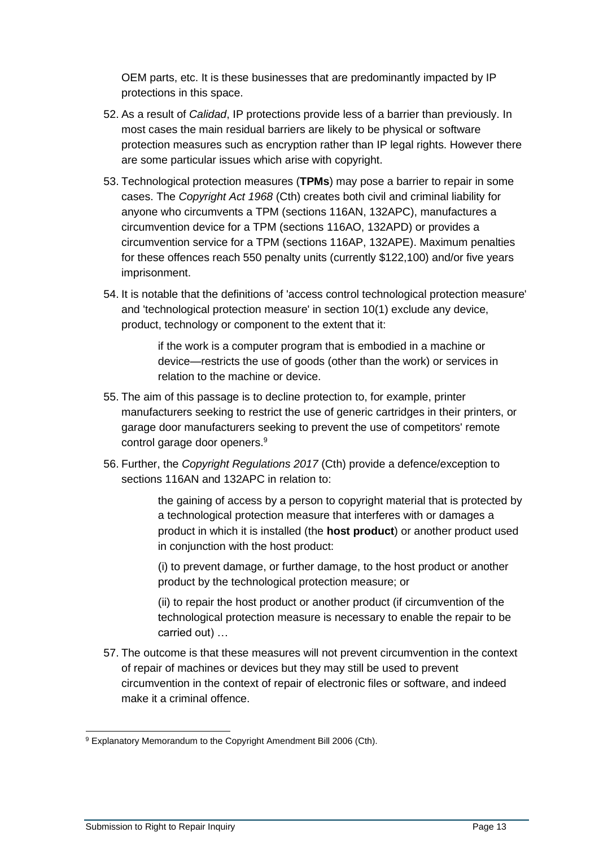OEM parts, etc. It is these businesses that are predominantly impacted by IP protections in this space.

- 52. As a result of *Calidad*, IP protections provide less of a barrier than previously. In most cases the main residual barriers are likely to be physical or software protection measures such as encryption rather than IP legal rights. However there are some particular issues which arise with copyright.
- 53. Technological protection measures (**TPMs**) may pose a barrier to repair in some cases. The *Copyright Act 1968* (Cth) creates both civil and criminal liability for anyone who circumvents a TPM (sections 116AN, 132APC), manufactures a circumvention device for a TPM (sections 116AO, 132APD) or provides a circumvention service for a TPM (sections 116AP, 132APE). Maximum penalties for these offences reach 550 penalty units (currently \$122,100) and/or five years imprisonment.
- 54. It is notable that the definitions of 'access control technological protection measure' and 'technological protection measure' in section 10(1) exclude any device, product, technology or component to the extent that it:

if the work is a computer program that is embodied in a machine or device—restricts the use of goods (other than the work) or services in relation to the machine or device.

- 55. The aim of this passage is to decline protection to, for example, printer manufacturers seeking to restrict the use of generic cartridges in their printers, or garage door manufacturers seeking to prevent the use of competitors' remote control garage door openers.<sup>9</sup>
- 56. Further, the *Copyright Regulations 2017* (Cth) provide a defence/exception to sections 116AN and 132APC in relation to:

the gaining of access by a person to copyright material that is protected by a technological protection measure that interferes with or damages a product in which it is installed (the **host product**) or another product used in conjunction with the host product:

(i) to prevent damage, or further damage, to the host product or another product by the technological protection measure; or

(ii) to repair the host product or another product (if circumvention of the technological protection measure is necessary to enable the repair to be carried out) …

57. The outcome is that these measures will not prevent circumvention in the context of repair of machines or devices but they may still be used to prevent circumvention in the context of repair of electronic files or software, and indeed make it a criminal offence.

<sup>9</sup> Explanatory Memorandum to the Copyright Amendment Bill 2006 (Cth).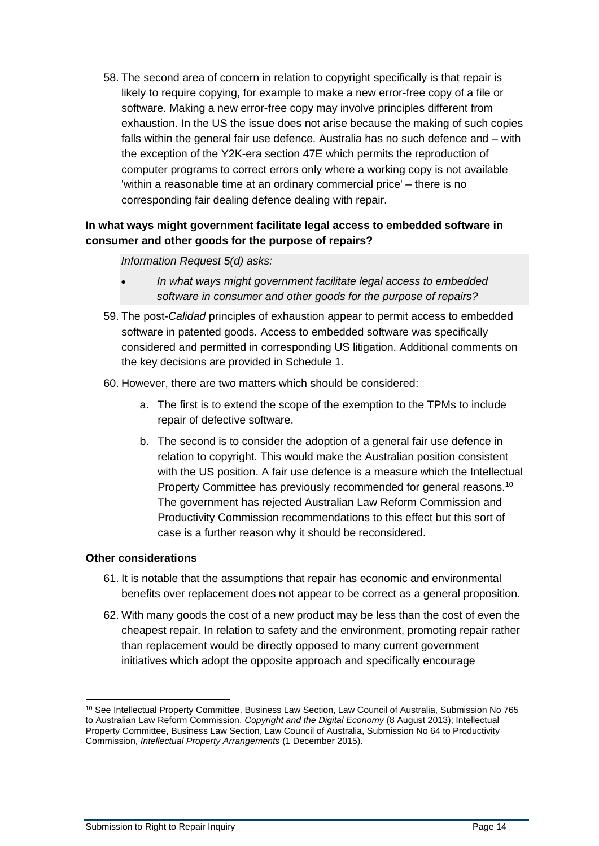58. The second area of concern in relation to copyright specifically is that repair is likely to require copying, for example to make a new error-free copy of a file or software. Making a new error-free copy may involve principles different from exhaustion. In the US the issue does not arise because the making of such copies falls within the general fair use defence. Australia has no such defence and – with the exception of the Y2K-era section 47E which permits the reproduction of computer programs to correct errors only where a working copy is not available 'within a reasonable time at an ordinary commercial price' – there is no corresponding fair dealing defence dealing with repair.

# **In what ways might government facilitate legal access to embedded software in consumer and other goods for the purpose of repairs?**

## *Information Request 5(d) asks:*

- *In what ways might government facilitate legal access to embedded software in consumer and other goods for the purpose of repairs?*
- 59. The post-*Calidad* principles of exhaustion appear to permit access to embedded software in patented goods. Access to embedded software was specifically considered and permitted in corresponding US litigation. Additional comments on the key decisions are provided in Schedule 1.
- 60. However, there are two matters which should be considered:
	- a. The first is to extend the scope of the exemption to the TPMs to include repair of defective software.
	- b. The second is to consider the adoption of a general fair use defence in relation to copyright. This would make the Australian position consistent with the US position. A fair use defence is a measure which the Intellectual Property Committee has previously recommended for general reasons.<sup>10</sup> The government has rejected Australian Law Reform Commission and Productivity Commission recommendations to this effect but this sort of case is a further reason why it should be reconsidered.

# **Other considerations**

- 61. It is notable that the assumptions that repair has economic and environmental benefits over replacement does not appear to be correct as a general proposition.
- 62. With many goods the cost of a new product may be less than the cost of even the cheapest repair. In relation to safety and the environment, promoting repair rather than replacement would be directly opposed to many current government initiatives which adopt the opposite approach and specifically encourage

<sup>&</sup>lt;sup>10</sup> See Intellectual Property Committee, Business Law Section, Law Council of Australia, Submission No 765 to Australian Law Reform Commission, *Copyright and the Digital Economy* (8 August 2013); Intellectual Property Committee, Business Law Section, Law Council of Australia, Submission No 64 to Productivity Commission, *Intellectual Property Arrangements* (1 December 2015).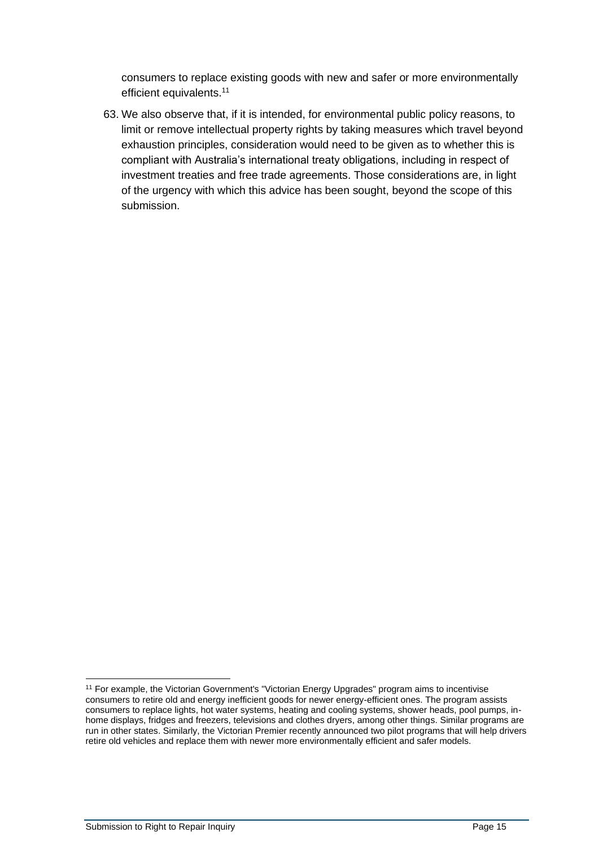consumers to replace existing goods with new and safer or more environmentally efficient equivalents.<sup>11</sup>

63. We also observe that, if it is intended, for environmental public policy reasons, to limit or remove intellectual property rights by taking measures which travel beyond exhaustion principles, consideration would need to be given as to whether this is compliant with Australia's international treaty obligations, including in respect of investment treaties and free trade agreements. Those considerations are, in light of the urgency with which this advice has been sought, beyond the scope of this submission.

<sup>&</sup>lt;sup>11</sup> For example, the Victorian Government's "Victorian Energy Upgrades" program aims to incentivise consumers to retire old and energy inefficient goods for newer energy-efficient ones. The program assists consumers to replace lights, hot water systems, heating and cooling systems, shower heads, pool pumps, inhome displays, fridges and freezers, televisions and clothes dryers, among other things. Similar programs are run in other states. Similarly, the Victorian Premier recently announced two pilot programs that will help drivers retire old vehicles and replace them with newer more environmentally efficient and safer models.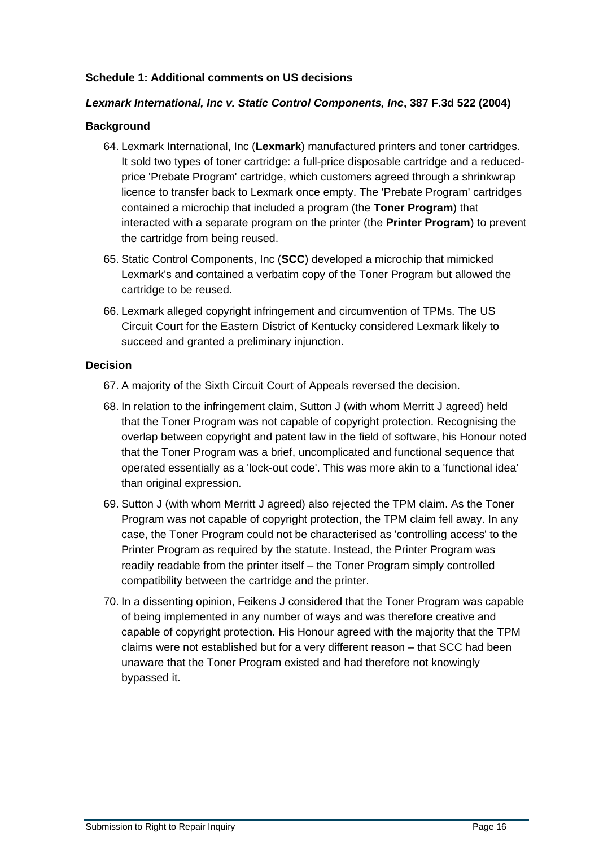## **Schedule 1: Additional comments on US decisions**

### *Lexmark International, Inc v. Static Control Components, Inc***, 387 F.3d 522 (2004)**

### **Background**

- 64. Lexmark International, Inc (**Lexmark**) manufactured printers and toner cartridges. It sold two types of toner cartridge: a full-price disposable cartridge and a reducedprice 'Prebate Program' cartridge, which customers agreed through a shrinkwrap licence to transfer back to Lexmark once empty. The 'Prebate Program' cartridges contained a microchip that included a program (the **Toner Program**) that interacted with a separate program on the printer (the **Printer Program**) to prevent the cartridge from being reused.
- 65. Static Control Components, Inc (**SCC**) developed a microchip that mimicked Lexmark's and contained a verbatim copy of the Toner Program but allowed the cartridge to be reused.
- 66. Lexmark alleged copyright infringement and circumvention of TPMs. The US Circuit Court for the Eastern District of Kentucky considered Lexmark likely to succeed and granted a preliminary injunction.

### **Decision**

- 67. A majority of the Sixth Circuit Court of Appeals reversed the decision.
- 68. In relation to the infringement claim, Sutton J (with whom Merritt J agreed) held that the Toner Program was not capable of copyright protection. Recognising the overlap between copyright and patent law in the field of software, his Honour noted that the Toner Program was a brief, uncomplicated and functional sequence that operated essentially as a 'lock-out code'. This was more akin to a 'functional idea' than original expression.
- 69. Sutton J (with whom Merritt J agreed) also rejected the TPM claim. As the Toner Program was not capable of copyright protection, the TPM claim fell away. In any case, the Toner Program could not be characterised as 'controlling access' to the Printer Program as required by the statute. Instead, the Printer Program was readily readable from the printer itself – the Toner Program simply controlled compatibility between the cartridge and the printer.
- 70. In a dissenting opinion, Feikens J considered that the Toner Program was capable of being implemented in any number of ways and was therefore creative and capable of copyright protection. His Honour agreed with the majority that the TPM claims were not established but for a very different reason – that SCC had been unaware that the Toner Program existed and had therefore not knowingly bypassed it.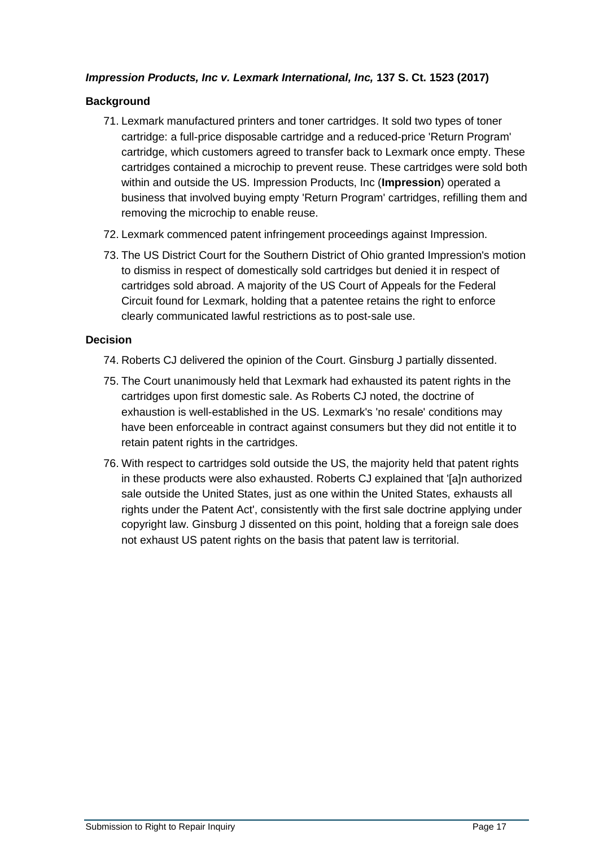# *Impression Products, Inc v. Lexmark International, Inc,* **137 S. Ct. 1523 (2017)**

# **Background**

- 71. Lexmark manufactured printers and toner cartridges. It sold two types of toner cartridge: a full-price disposable cartridge and a reduced-price 'Return Program' cartridge, which customers agreed to transfer back to Lexmark once empty. These cartridges contained a microchip to prevent reuse. These cartridges were sold both within and outside the US. Impression Products, Inc (**Impression**) operated a business that involved buying empty 'Return Program' cartridges, refilling them and removing the microchip to enable reuse.
- 72. Lexmark commenced patent infringement proceedings against Impression.
- 73. The US District Court for the Southern District of Ohio granted Impression's motion to dismiss in respect of domestically sold cartridges but denied it in respect of cartridges sold abroad. A majority of the US Court of Appeals for the Federal Circuit found for Lexmark, holding that a patentee retains the right to enforce clearly communicated lawful restrictions as to post-sale use.

# **Decision**

- 74. Roberts CJ delivered the opinion of the Court. Ginsburg J partially dissented.
- 75. The Court unanimously held that Lexmark had exhausted its patent rights in the cartridges upon first domestic sale. As Roberts CJ noted, the doctrine of exhaustion is well-established in the US. Lexmark's 'no resale' conditions may have been enforceable in contract against consumers but they did not entitle it to retain patent rights in the cartridges.
- 76. With respect to cartridges sold outside the US, the majority held that patent rights in these products were also exhausted. Roberts CJ explained that '[a]n authorized sale outside the United States, just as one within the United States, exhausts all rights under the Patent Act', consistently with the first sale doctrine applying under copyright law. Ginsburg J dissented on this point, holding that a foreign sale does not exhaust US patent rights on the basis that patent law is territorial.